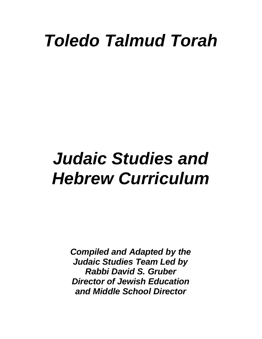# *Toledo Talmud Torah*

# *Judaic Studies and Hebrew Curriculum*

*Compiled and Adapted by the Judaic Studies Team Led by Rabbi David S. Gruber Director of Jewish Education and Middle School Director*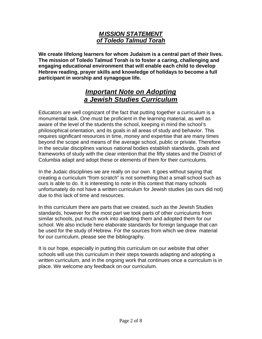# *MISSION STATEMENT of Toledo Talmud Torah*

**We create lifelong learners for whom Judaism is a central part of their lives. The mission of Toledo Talmud Torah is to foster a caring, challenging and engaging educational environment that will enable each child to develop Hebrew reading, prayer skills and knowledge of holidays to become a full participant in worship and synagogue life.**

# *Important Note on Adopting a Jewish Studies Curriculum*

Educators are well cognizant of the fact that putting together a curriculum is a monumental task. One must be proficient in the learning material, as well as aware of the level of the students the school, keeping in mind the school's philosophical orientation, and its goals in all areas of study and behavior. This requires significant resources in time, money and expertise that are many times beyond the scope and means of the average school, public or private. Therefore in the secular disciplines various national bodies establish standards, goals and frameworks of study with the clear intention that the fifty states and the District of Columbia adapt and adopt these or elements of them for their curriculums.

In the Judaic disciplines we are really on our own. It goes without saying that creating a curriculum "from scratch" is not something that a small school such as ours is able to do. It is interesting to note in this context that many schools unfortunately do not have a written curriculum for Jewish studies (as ours did not) due to this lack of time and resources.

In this curriculum there are parts that we created, such as the Jewish Studies standards, however for the most part we took parts of other curriculums from similar schools, put much work into adapting them and adopted them for our school. We also include here elaborate standards for foreign language that can be used for the study of Hebrew. For the sources from which we drew material for our curriculum, please see the bibliography.

It is our hope, especially in putting this curriculum on our website that other schools will use this curriculum in their steps towards adapting and adopting a written curriculum, and in the ongoing work that continues once a curriculum is in place. We welcome any feedback on our curriculum.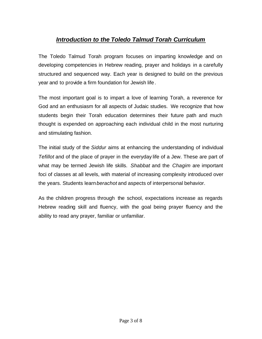# *Introduction to the Toledo Talmud Torah Curriculum*

The Toledo Talmud Torah program focuses on imparting knowledge and on developing competencies in Hebrew reading, prayer and holidays in a carefully structured and sequenced way. Each year is designed to build on the previous year and to provide a firm foundation for Jewish life.

The most important goal is to impart a love of learning Torah, a reverence for God and an enthusiasm for all aspects of Judaic studies. We recognize that how students begin their Torah education determines their future path and much thought is expended on approaching each individual child in the most nurturing and stimulating fashion.

The initial study of the *Siddur* aims at enhancing the understanding of individual *Tefillot* and of the place of prayer in the everyday life of a Jew. These are part of what may be termed Jewish life skills. *Shabbat* and the *Chagim* are important foci of classes at all levels, with material of increasing complexity introduced over the years. Students learn*berachot* and aspects of interpersonal behavior.

As the children progress through the school, expectations increase as regards Hebrew reading skill and fluency, with the goal being prayer fluency and the ability to read any prayer, familiar or unfamiliar.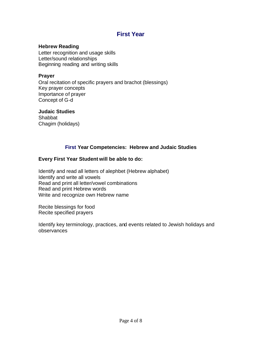# **First Year**

### **Hebrew Reading**

Letter recognition and usage skills Letter/sound relationships Beginning reading and writing skills

#### **Prayer**

Oral recitation of specific prayers and brachot (blessings) Key prayer concepts Importance of prayer Concept of G-d

#### **Judaic Studies**

**Shabbat** Chagim (holidays)

## **First Year Competencies: Hebrew and Judaic Studies**

## **Every First Year Student will be able to do:**

Identify and read all letters of alephbet (Hebrew alphabet) Identify and write all vowels Read and print all letter/vowel combinations Read and print Hebrew words Write and recognize own Hebrew name

Recite blessings for food Recite specified prayers

Identify key terminology, practices, and events related to Jewish holidays and observances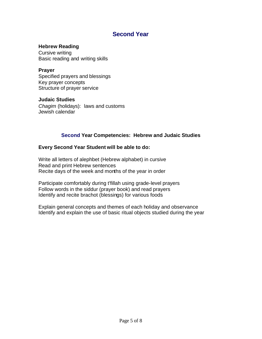# **Second Year**

#### **Hebrew Reading**

Cursive writing Basic reading and writing skills

#### **Prayer**

Specified prayers and blessings Key prayer concepts Structure of prayer service

#### **Judaic Studies**

*Chagim* (holidays): laws and customs Jewish calendar

## **Second Year Competencies: Hebrew and Judaic Studies**

#### **Every Second Year Student will be able to do:**

Write all letters of alephbet (Hebrew alphabet) in cursive Read and print Hebrew sentences Recite days of the week and months of the year in order

Participate comfortably during t'fillah using grade-level prayers Follow words in the siddur (prayer book) and read prayers Identify and recite brachot (blessings) for various foods

Explain general concepts and themes of each holiday and observance Identify and explain the use of basic ritual objects studied during the year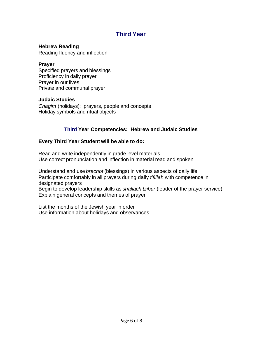# **Third Year**

# **Hebrew Reading**

Reading fluency and inflection

## **Prayer**

Specified prayers and blessings Proficiency in daily prayer Prayer in our lives Private and communal prayer

#### **Judaic Studies**

*Chagim* (holidays): prayers, people and concepts Holiday symbols and ritual objects

# **Third Year Competencies: Hebrew and Judaic Studies**

## **Every Third Year Student will be able to do:**

Read and write independently in grade level materials Use correct pronunciation and inflection in material read and spoken

Understand and use *brachot* (blessings) in various aspects of daily life Participate comfortably in all prayers during daily *t'fillah* with competence in designated prayers

Begin to develop leadership skills as *shaliach tzibur* (leader of the prayer service) Explain general concepts and themes of prayer

List the months of the Jewish year in order Use information about holidays and observances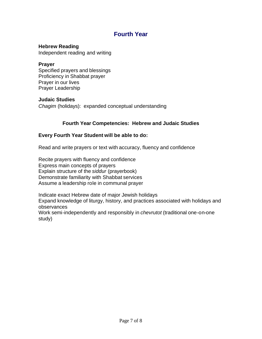# **Fourth Year**

## **Hebrew Reading**

Independent reading and writing

### **Prayer**

Specified prayers and blessings Proficiency in Shabbat prayer Prayer in our lives Prayer Leadership

#### **Judaic Studies**

*Chagim* (holidays): expanded conceptual understanding

# **Fourth Year Competencies: Hebrew and Judaic Studies**

## **Every Fourth Year Student will be able to do:**

Read and write prayers or text with accuracy, fluency and confidence

Recite prayers with fluency and confidence Express main concepts of prayers Explain structure of the *siddur* (prayerbook) Demonstrate familiarity with Shabbat services Assume a leadership role in communal prayer

Indicate exact Hebrew date of major Jewish holidays Expand knowledge of liturgy, history, and practices associated with holidays and observances Work semi-independently and responsibly in *chevrutot* (traditional one-on-one study)